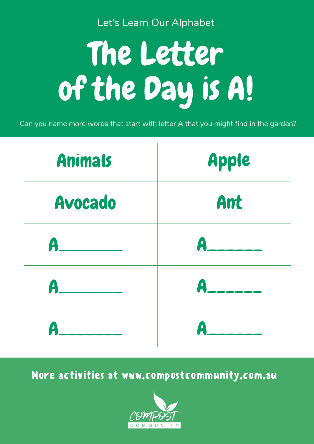# The Letter of the Day is A!

Let's Learn Our Alphabet

Can you name more words that start with letter A that you might find in the garden?

| Apple |
|-------|
| Ant   |
|       |



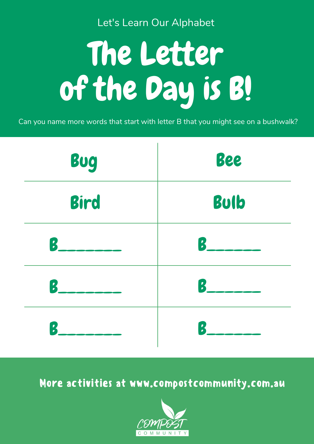# The Letter of the Day is B!

Let's Learn Our Alphabet

Can you name more words that start with letter B that you might see on a bushwalk?



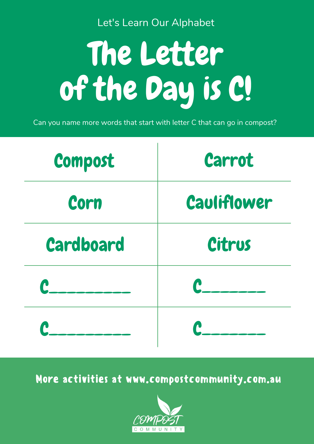# The Letter of the Day is C!

Let's Learn Our Alphabet

Can you name more words that start with letter C that can go in compost?



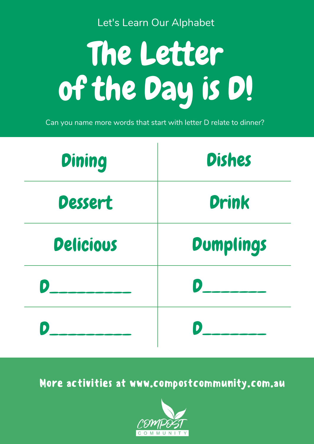# The Letter of the Day is D!

Let's Learn Our Alphabet

Can you name more words that start with letter D relate to dinner?



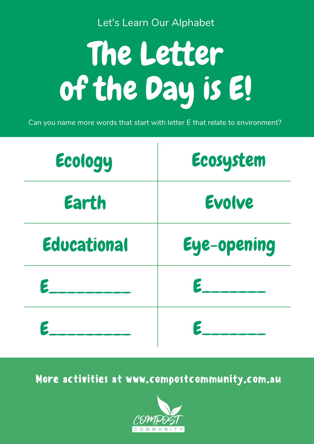# The Letter of the Day is E!

Let's Learn Our Alphabet

Can you name more words that start with letter E that relate to environment?

| Ecology | Ecosystem |
|---------|-----------|
| Earth   | Evolve    |
|         |           |



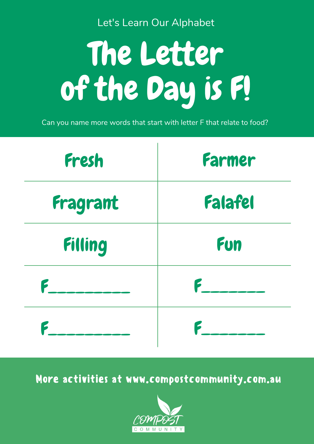# The Letter of the Day is F!

Let's Learn Our Alphabet

Can you name more words that start with letter F that relate to food?



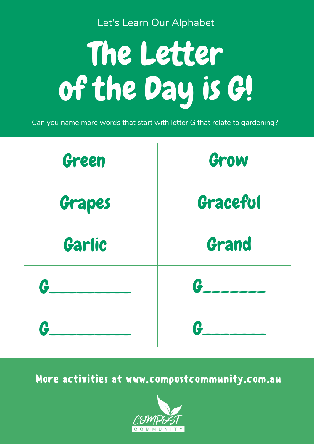# The Letter of the Day is G!

Let's Learn Our Alphabet

Can you name more words that start with letter G that relate to gardening?



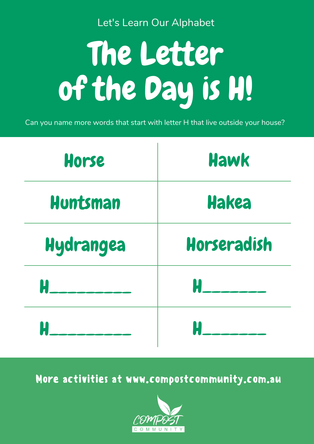## The Letter of the Day is H!

Let's Learn Our Alphabet

Can you name more words that start with letter H that live outside your house?

| Horse    | Hawk  |
|----------|-------|
| Huntsman | Hakea |
|          |       |



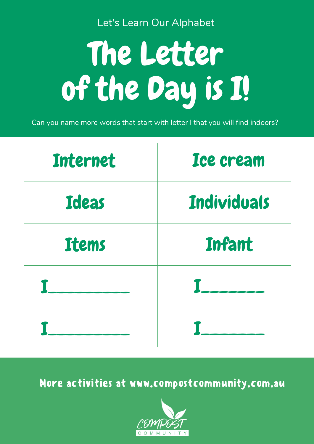# The Letter of the Day is I!

Let's Learn Our Alphabet

Can you name more words that start with letter I that you will find indoors?

| Internet | Ice cream   |
|----------|-------------|
| Ideas    | Individuals |
|          |             |



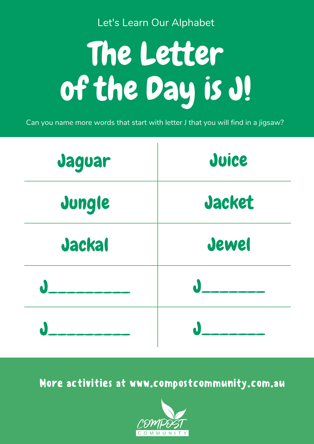Let's Learn Our Alphabet

# The Letter of the Day is J!

Can you name more words that start with letter J that you will find in a jigsaw?

| Jaguar | Juice  |
|--------|--------|
| Jungle | Jacket |